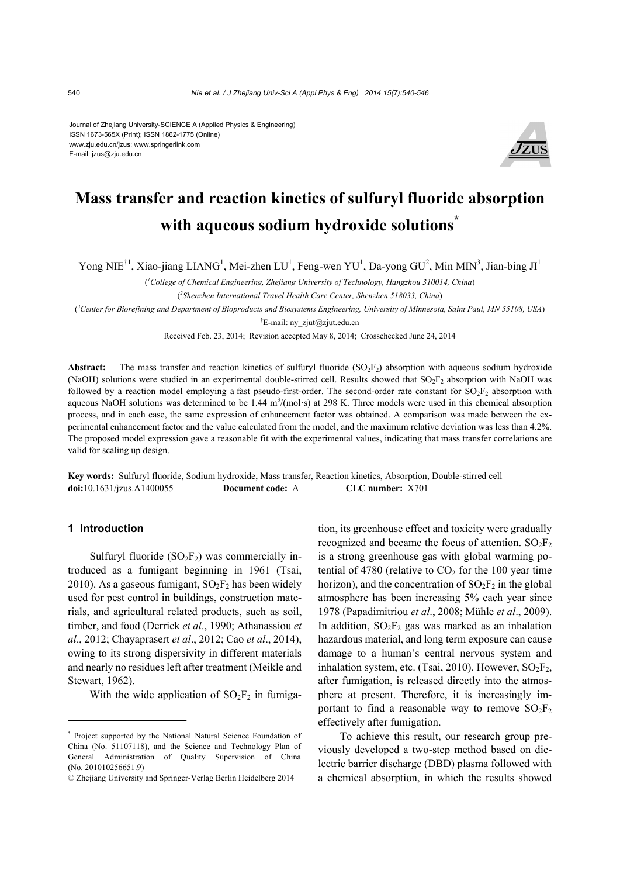#### Journal of Zhejiang University-SCIENCE A (Applied Physics & Engineering) ISSN 1673-565X (Print); ISSN 1862-1775 (Online) www.zju.edu.cn/jzus; www.springerlink.com E-mail: jzus@zju.edu.cn



## **Mass transfer and reaction kinetics of sulfuryl fluoride absorption with aqueous sodium hydroxide solutions\***

Yong NIE<sup>†1</sup>, Xiao-jiang LIANG<sup>1</sup>, Mei-zhen LU<sup>1</sup>, Feng-wen YU<sup>1</sup>, Da-yong GU<sup>2</sup>, Min MIN<sup>3</sup>, Jian-bing JI<sup>1</sup>

( *1 College of Chemical Engineering, Zhejiang University of Technology, Hangzhou 310014, China*)

( *2 Shenzhen International Travel Health Care Center, Shenzhen 518033, China*)

( *3 Center for Biorefining and Department of Bioproducts and Biosystems Engineering, University of Minnesota, Saint Paul, MN 55108, USA*)

† E-mail: ny\_zjut@zjut.edu.cn

Received Feb. 23, 2014; Revision accepted May 8, 2014; Crosschecked June 24, 2014

**Abstract:** The mass transfer and reaction kinetics of sulfuryl fluoride  $(SO<sub>2</sub>F<sub>2</sub>)$  absorption with aqueous sodium hydroxide (NaOH) solutions were studied in an experimental double-stirred cell. Results showed that  $SO_2F_2$  absorption with NaOH was followed by a reaction model employing a fast pseudo-first-order. The second-order rate constant for  $SO_2F_2$  absorption with aqueous NaOH solutions was determined to be 1.44  $m<sup>3</sup>$ /(mol·s) at 298 K. Three models were used in this chemical absorption process, and in each case, the same expression of enhancement factor was obtained. A comparison was made between the experimental enhancement factor and the value calculated from the model, and the maximum relative deviation was less than 4.2%. The proposed model expression gave a reasonable fit with the experimental values, indicating that mass transfer correlations are valid for scaling up design.

**Key words:** Sulfuryl fluoride, Sodium hydroxide, Mass transfer, Reaction kinetics, Absorption, Double-stirred cell **doi:**10.1631/jzus.A1400055 **Document code:** A **CLC number:** X701

#### **1 Introduction**

Sulfuryl fluoride  $(SO_2F_2)$  was commercially introduced as a fumigant beginning in 1961 (Tsai, 2010). As a gaseous fumigant,  $SO_2F_2$  has been widely used for pest control in buildings, construction materials, and agricultural related products, such as soil, timber, and food (Derrick *et al*., 1990; Athanassiou *et al*., 2012; Chayaprasert *et al*., 2012; Cao *et al*., 2014), owing to its strong dispersivity in different materials and nearly no residues left after treatment (Meikle and Stewart, 1962).

With the wide application of  $SO_2F_2$  in fumiga-

tion, its greenhouse effect and toxicity were gradually recognized and became the focus of attention.  $SO_2F_2$ is a strong greenhouse gas with global warming potential of 4780 (relative to  $CO<sub>2</sub>$  for the 100 year time horizon), and the concentration of  $SO_2F_2$  in the global atmosphere has been increasing 5% each year since 1978 (Papadimitriou *et al*., 2008; Mühle *et al*., 2009). In addition,  $SO<sub>2</sub>F<sub>2</sub>$  gas was marked as an inhalation hazardous material, and long term exposure can cause damage to a human's central nervous system and inhalation system, etc. (Tsai, 2010). However,  $SO_2F_2$ , after fumigation, is released directly into the atmosphere at present. Therefore, it is increasingly important to find a reasonable way to remove  $SO_2F_2$ effectively after fumigation.

To achieve this result, our research group previously developed a two-step method based on dielectric barrier discharge (DBD) plasma followed with a chemical absorption, in which the results showed

<sup>\*</sup> Project supported by the National Natural Science Foundation of China (No. 51107118), and the Science and Technology Plan of General Administration of Quality Supervision of China (No. 201010256651.9)

<sup>©</sup> Zhejiang University and Springer-Verlag Berlin Heidelberg 2014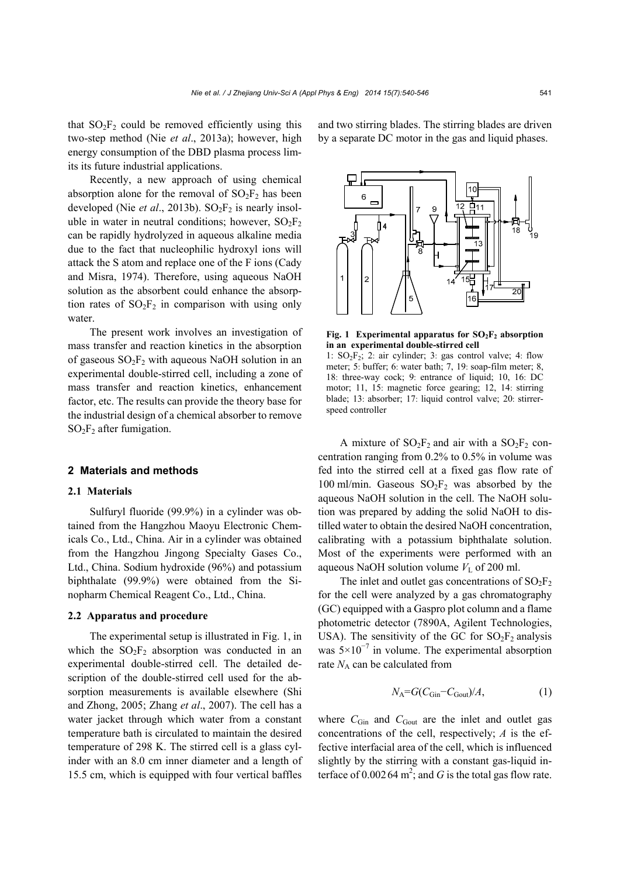that  $SO_2F_2$  could be removed efficiently using this two-step method (Nie *et al*., 2013a); however, high energy consumption of the DBD plasma process limits its future industrial applications.

Recently, a new approach of using chemical absorption alone for the removal of  $SO_2F_2$  has been developed (Nie *et al.*, 2013b).  $SO_2F_2$  is nearly insoluble in water in neutral conditions; however,  $SO_2F_2$ can be rapidly hydrolyzed in aqueous alkaline media due to the fact that nucleophilic hydroxyl ions will attack the S atom and replace one of the F ions (Cady and Misra, 1974). Therefore, using aqueous NaOH solution as the absorbent could enhance the absorption rates of  $SO_2F_2$  in comparison with using only water.

The present work involves an investigation of mass transfer and reaction kinetics in the absorption of gaseous  $SO<sub>2</sub>F<sub>2</sub>$  with aqueous NaOH solution in an experimental double-stirred cell, including a zone of mass transfer and reaction kinetics, enhancement factor, etc. The results can provide the theory base for the industrial design of a chemical absorber to remove  $SO<sub>2</sub>F<sub>2</sub>$  after fumigation.

#### **2 Materials and methods**

#### **2.1 Materials**

Sulfuryl fluoride (99.9%) in a cylinder was obtained from the Hangzhou Maoyu Electronic Chemicals Co., Ltd., China. Air in a cylinder was obtained from the Hangzhou Jingong Specialty Gases Co., Ltd., China. Sodium hydroxide (96%) and potassium biphthalate (99.9%) were obtained from the Sinopharm Chemical Reagent Co., Ltd., China.

#### **2.2 Apparatus and procedure**

The experimental setup is illustrated in Fig. 1, in which the  $SO_2F_2$  absorption was conducted in an experimental double-stirred cell. The detailed description of the double-stirred cell used for the absorption measurements is available elsewhere (Shi and Zhong, 2005; Zhang *et al*., 2007). The cell has a water jacket through which water from a constant temperature bath is circulated to maintain the desired temperature of 298 K. The stirred cell is a glass cylinder with an 8.0 cm inner diameter and a length of 15.5 cm, which is equipped with four vertical baffles

and two stirring blades. The stirring blades are driven by a separate DC motor in the gas and liquid phases.



**Fig. 1** Experimental apparatus for  $SO_2F_2$  absorption **in an experimental double-stirred cell** 

1:  $SO_2F_2$ ; 2: air cylinder; 3: gas control valve; 4: flow meter; 5: buffer; 6: water bath; 7, 19: soap-film meter; 8, 18: three-way cock; 9: entrance of liquid; 10, 16: DC motor; 11, 15: magnetic force gearing; 12, 14: stirring blade; 13: absorber; 17: liquid control valve; 20: stirrerspeed controller

A mixture of  $SO_2F_2$  and air with a  $SO_2F_2$  concentration ranging from 0.2% to 0.5% in volume was fed into the stirred cell at a fixed gas flow rate of 100 ml/min. Gaseous  $SO_2F_2$  was absorbed by the aqueous NaOH solution in the cell. The NaOH solution was prepared by adding the solid NaOH to distilled water to obtain the desired NaOH concentration, calibrating with a potassium biphthalate solution. Most of the experiments were performed with an aqueous NaOH solution volume  $V<sub>L</sub>$  of 200 ml.

The inlet and outlet gas concentrations of  $SO_2F_2$ for the cell were analyzed by a gas chromatography (GC) equipped with a Gaspro plot column and a flame photometric detector (7890A, Agilent Technologies, USA). The sensitivity of the GC for  $SO<sub>2</sub>F<sub>2</sub>$  analysis was  $5 \times 10^{-7}$  in volume. The experimental absorption rate  $N_A$  can be calculated from

$$
N_{\rm A} = G(C_{\rm Gin} - C_{\rm Gout})/A,\tag{1}
$$

where  $C_{\text{Gin}}$  and  $C_{\text{Gout}}$  are the inlet and outlet gas concentrations of the cell, respectively; *A* is the effective interfacial area of the cell, which is influenced slightly by the stirring with a constant gas-liquid interface of  $0.00264 \text{ m}^2$ ; and *G* is the total gas flow rate.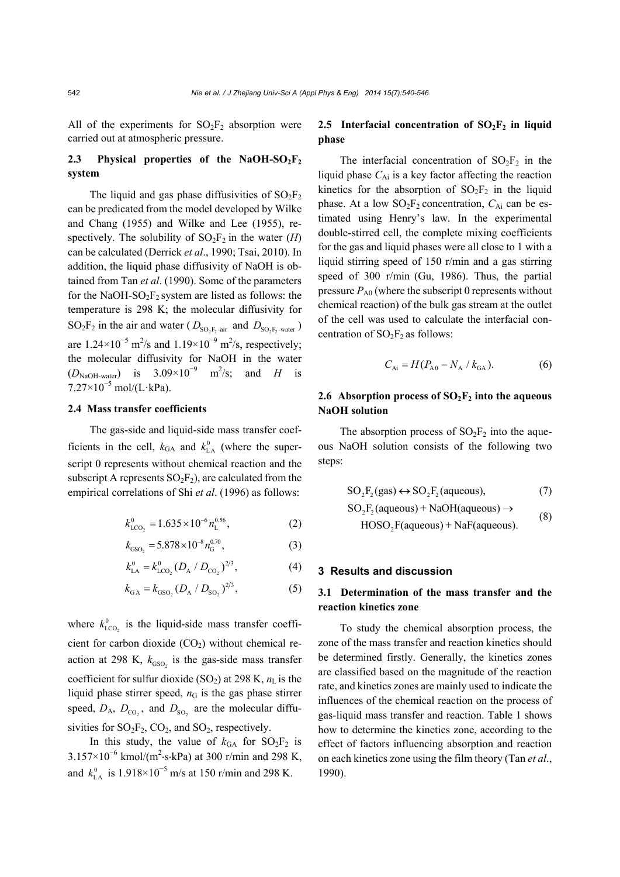All of the experiments for  $SO_2F_2$  absorption were carried out at atmospheric pressure.

## 2.3 Physical properties of the NaOH-SO<sub>2</sub>F<sub>2</sub> **system**

The liquid and gas phase diffusivities of  $SO_2F_2$ can be predicated from the model developed by Wilke and Chang (1955) and Wilke and Lee (1955), respectively. The solubility of  $SO_2F_2$  in the water (*H*) can be calculated (Derrick *et al*., 1990; Tsai, 2010). In addition, the liquid phase diffusivity of NaOH is obtained from Tan *et al*. (1990). Some of the parameters for the NaOH-SO<sub>2</sub>F<sub>2</sub> system are listed as follows: the temperature is 298 K; the molecular diffusivity for  $SO_2F_2$  in the air and water ( $D_{SO_2F_2\text{-air}}$  and  $D_{SO_2F_2\text{-water}}$ ) are  $1.24 \times 10^{-5}$  m<sup>2</sup>/s and  $1.19 \times 10^{-9}$  m<sup>2</sup>/s, respectively; the molecular diffusivity for NaOH in the water  $(D_{\text{NaOH-water}})$  is  $3.09 \times 10^{-9}$  m<sup>2</sup>/s; and *H* is  $7.27\times10^{-5}$  mol/(L·kPa).

#### **2.4 Mass transfer coefficients**

The gas-side and liquid-side mass transfer coefficients in the cell,  $k_{GA}$  and  $k_{LA}^0$  (where the superscript 0 represents without chemical reaction and the subscript A represents  $SO_2F_2$ ), are calculated from the empirical correlations of Shi *et al*. (1996) as follows:

$$
k_{\text{LCO}_2}^0 = 1.635 \times 10^{-6} n_{\text{L}}^{0.56},\tag{2}
$$

$$
k_{GSO_2} = 5.878 \times 10^{-8} n_G^{0.70},\tag{3}
$$

$$
k_{\text{LA}}^0 = k_{\text{LCO}_2}^0 (D_{\text{A}} / D_{\text{CO}_2})^{2/3},\tag{4}
$$

$$
k_{\text{GA}} = k_{\text{GSO}_2} (D_{\text{A}} / D_{\text{SO}_2})^{2/3},\tag{5}
$$

where  $k_{\text{LCO}_2}^0$  is the liquid-side mass transfer coefficient for carbon dioxide  $(CO<sub>2</sub>)$  without chemical reaction at 298 K,  $k_{GSO_2}$  is the gas-side mass transfer coefficient for sulfur dioxide (SO<sub>2</sub>) at 298 K,  $n<sub>L</sub>$  is the liquid phase stirrer speed,  $n<sub>G</sub>$  is the gas phase stirrer speed,  $D_A$ ,  $D_{CO_2}$ , and  $D_{SO_2}$  are the molecular diffusivities for  $SO_2F_2$ ,  $CO_2$ , and  $SO_2$ , respectively.

In this study, the value of  $k_{\text{GA}}$  for SO<sub>2</sub>F<sub>2</sub> is  $3.157 \times 10^{-6}$  kmol/(m<sup>2</sup>·s·kPa) at 300 r/min and 298 K, and  $k_{\text{LA}}^0$  is 1.918×10<sup>-5</sup> m/s at 150 r/min and 298 K.

## 2.5 Interfacial concentration of SO<sub>2</sub>F<sub>2</sub> in liquid **phase**

The interfacial concentration of  $SO_2F_2$  in the liquid phase  $C_{Ai}$  is a key factor affecting the reaction kinetics for the absorption of  $SO_2F_2$  in the liquid phase. At a low  $SO_2F_2$  concentration,  $C_{Ai}$  can be estimated using Henry's law. In the experimental double-stirred cell, the complete mixing coefficients for the gas and liquid phases were all close to 1 with a liquid stirring speed of 150 r/min and a gas stirring speed of 300 r/min (Gu, 1986). Thus, the partial pressure  $P_{A0}$  (where the subscript 0 represents without chemical reaction) of the bulk gas stream at the outlet of the cell was used to calculate the interfacial concentration of  $SO_2F_2$  as follows:

$$
C_{\text{Ai}} = H(P_{\text{A}0} - N_{\text{A}} / k_{\text{GA}}). \tag{6}
$$

## **2.6 Absorption process of**  $SO_2F_2$  **into the aqueous NaOH solution**

The absorption process of  $SO<sub>2</sub>F<sub>2</sub>$  into the aqueous NaOH solution consists of the following two steps:

$$
SO_2F_2(gas) \leftrightarrow SO_2F_2(aqueous), \tag{7}
$$

$$
SO2F2(aqueous) + NaOH(aqueous) \rightarrow
$$
  
HOSO<sub>2</sub>F(aqueous) + NaF(aqueous). (8)

#### **3 Results and discussion**

## **3.1 Determination of the mass transfer and the reaction kinetics zone**

To study the chemical absorption process, the zone of the mass transfer and reaction kinetics should be determined firstly. Generally, the kinetics zones are classified based on the magnitude of the reaction rate, and kinetics zones are mainly used to indicate the influences of the chemical reaction on the process of gas-liquid mass transfer and reaction. Table 1 shows how to determine the kinetics zone, according to the effect of factors influencing absorption and reaction on each kinetics zone using the film theory (Tan *et al*., 1990).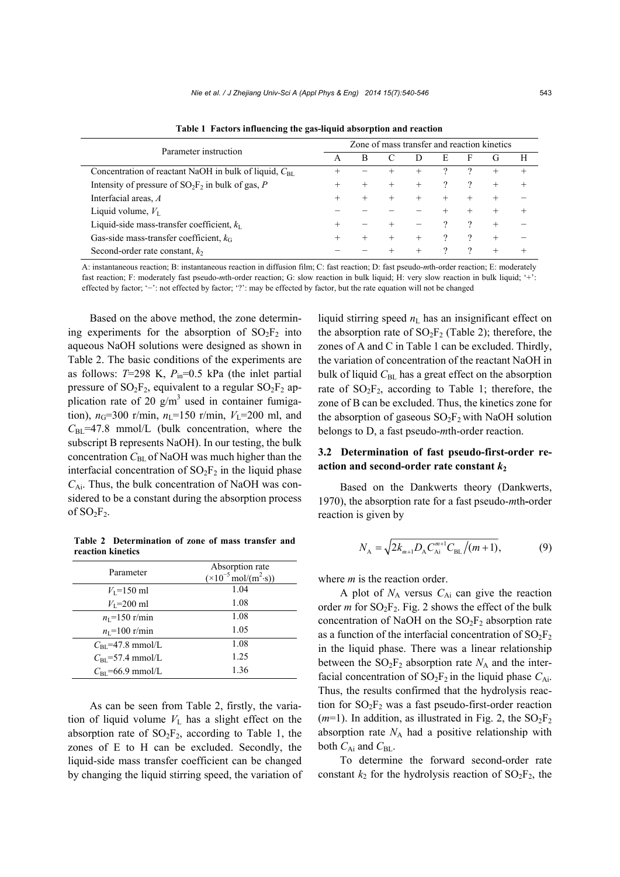| Parameter instruction                                      | Zone of mass transfer and reaction kinetics |      |  |  |   |   |        |   |
|------------------------------------------------------------|---------------------------------------------|------|--|--|---|---|--------|---|
|                                                            | A                                           | B    |  |  | E | F | €.     | H |
| Concentration of reactant NaOH in bulk of liquid, $C_{BL}$ |                                             |      |  |  |   |   | $^+$   |   |
| Intensity of pressure of $SO_2F_2$ in bulk of gas, P       | +                                           |      |  |  |   |   | $^{+}$ |   |
| Interfacial areas, A                                       | $^+$                                        |      |  |  |   |   |        |   |
| Liquid volume, $V_{I}$                                     |                                             |      |  |  |   |   |        |   |
| Liquid-side mass-transfer coefficient, $k_I$               |                                             |      |  |  |   |   | $^+$   |   |
| Gas-side mass-transfer coefficient, $k_G$                  |                                             | $^+$ |  |  |   |   | $^+$   |   |
| Second-order rate constant, $k_2$                          |                                             |      |  |  |   |   |        |   |

**Table 1 Factors influencing the gas-liquid absorption and reaction**

A: instantaneous reaction; B: instantaneous reaction in diffusion film; C: fast reaction; D: fast pseudo-*m*th-order reaction; E: moderately fast reaction; F: moderately fast pseudo-*m*th-order reaction; G: slow reaction in bulk liquid; H: very slow reaction in bulk liquid; '+': effected by factor; '−': not effected by factor; '?': may be effected by factor, but the rate equation will not be changed

Based on the above method, the zone determining experiments for the absorption of  $SO_2F_2$  into aqueous NaOH solutions were designed as shown in Table 2. The basic conditions of the experiments are as follows:  $T=298$  K,  $P_{in}=0.5$  kPa (the inlet partial pressure of  $SO_2F_2$ , equivalent to a regular  $SO_2F_2$  application rate of 20  $g/m<sup>3</sup>$  used in container fumigation),  $n_G$ =300 r/min,  $n_L$ =150 r/min,  $V_L$ =200 ml, and  $C_{\text{BL}}$ =47.8 mmol/L (bulk concentration, where the subscript B represents NaOH). In our testing, the bulk concentration  $C_{BL}$  of NaOH was much higher than the interfacial concentration of  $SO_2F_2$  in the liquid phase *C*Ai. Thus, the bulk concentration of NaOH was considered to be a constant during the absorption process of  $SO_2F_2$ .

**Table 2 Determination of zone of mass transfer and reaction kinetics**

| Parameter                    | Absorption rate<br>$(\times 10^{-5} \text{ mol/(m}^2 \cdot \text{s}))$ |  |  |
|------------------------------|------------------------------------------------------------------------|--|--|
| $V_1 = 150$ ml               | 1.04                                                                   |  |  |
| $V_1$ =200 ml                | 1.08                                                                   |  |  |
| $n_1 = 150$ r/min            | 1.08                                                                   |  |  |
| $n_{\rm L}$ =100 r/min       | 1.05                                                                   |  |  |
| $C_{\text{BI}}$ =47.8 mmol/L | 1.08                                                                   |  |  |
| $C_{\text{BI}}$ =57.4 mmol/L | 1.25                                                                   |  |  |
| $C_{\text{BI}}$ =66.9 mmol/L | 1.36                                                                   |  |  |

As can be seen from Table 2, firstly, the variation of liquid volume  $V<sub>L</sub>$  has a slight effect on the absorption rate of  $SO_2F_2$ , according to Table 1, the zones of E to H can be excluded. Secondly, the liquid-side mass transfer coefficient can be changed by changing the liquid stirring speed, the variation of liquid stirring speed  $n<sub>L</sub>$  has an insignificant effect on the absorption rate of  $SO_2F_2$  (Table 2); therefore, the zones of A and C in Table 1 can be excluded. Thirdly, the variation of concentration of the reactant NaOH in bulk of liquid C<sub>BL</sub> has a great effect on the absorption rate of  $SO_2F_2$ , according to Table 1; therefore, the zone of B can be excluded. Thus, the kinetics zone for the absorption of gaseous  $SO_2F_2$  with NaOH solution belongs to D, a fast pseudo-*m*th-order reaction.

## **3.2 Determination of fast pseudo-first-order reaction and second-order rate constant** *k***<sup>2</sup>**

Based on the Dankwerts theory (Dankwerts, 1970), the absorption rate for a fast pseudo-*m*th**-**order reaction is given by

$$
N_{A} = \sqrt{2k_{m+1}D_{A}C_{Ai}^{m+1}C_{BL}/(m+1)},
$$
\n(9)

where *m* is the reaction order.

A plot of *N*A versus *C*Ai can give the reaction order  $m$  for  $SO_2F_2$ . Fig. 2 shows the effect of the bulk concentration of NaOH on the  $SO_2F_2$  absorption rate as a function of the interfacial concentration of  $SO_2F_2$ in the liquid phase. There was a linear relationship between the  $SO_2F_2$  absorption rate  $N_A$  and the interfacial concentration of  $SO_2F_2$  in the liquid phase  $C_{Ai}$ . Thus, the results confirmed that the hydrolysis reaction for  $SO_2F_2$  was a fast pseudo-first-order reaction  $(m=1)$ . In addition, as illustrated in Fig. 2, the  $SO_2F_2$ absorption rate  $N_A$  had a positive relationship with both  $C_{Ai}$  and  $C_{BL}$ .

To determine the forward second-order rate constant  $k_2$  for the hydrolysis reaction of  $SO_2F_2$ , the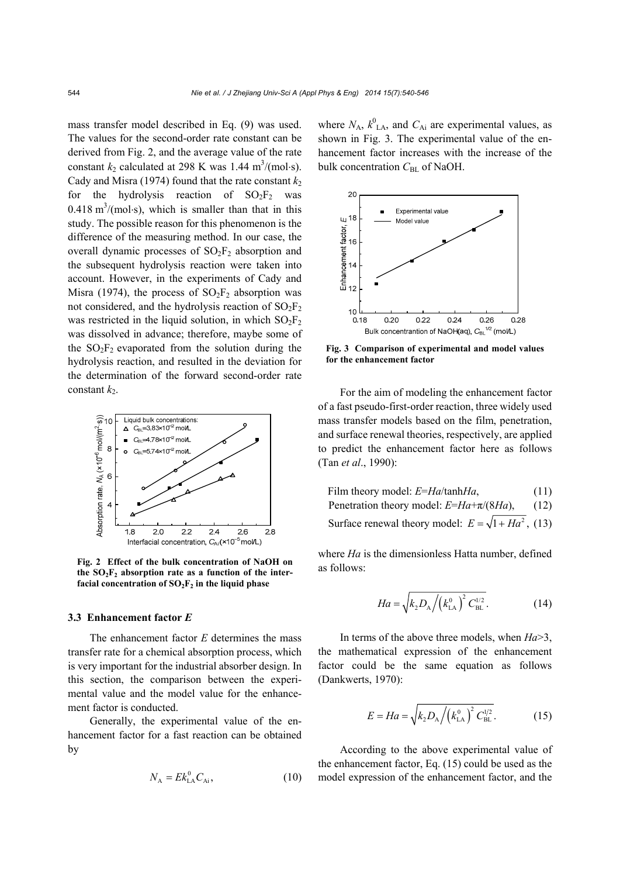mass transfer model described in Eq. (9) was used. The values for the second-order rate constant can be derived from Fig. 2, and the average value of the rate constant  $k_2$  calculated at 298 K was 1.44 m<sup>3</sup>/(mol·s). Cady and Misra (1974) found that the rate constant  $k_2$ for the hydrolysis reaction of  $SO_2F_2$  was  $0.418 \text{ m}^3/(\text{mol·s})$ , which is smaller than that in this study. The possible reason for this phenomenon is the difference of the measuring method. In our case, the overall dynamic processes of  $SO_2F_2$  absorption and the subsequent hydrolysis reaction were taken into account. However, in the experiments of Cady and Misra (1974), the process of  $SO_2F_2$  absorption was not considered, and the hydrolysis reaction of  $SO_2F_2$ was restricted in the liquid solution, in which  $SO_2F_2$ was dissolved in advance; therefore, maybe some of the  $SO_2F_2$  evaporated from the solution during the hydrolysis reaction, and resulted in the deviation for the determination of the forward second-order rate constant  $k_2$ .



**Fig. 2 Effect of the bulk concentration of NaOH on**  the  $SO<sub>2</sub>F<sub>2</sub>$  absorption rate as a function of the interfacial concentration of  $SO_2F_2$  in the liquid phase

#### **3.3 Enhancement factor** *E*

The enhancement factor *E* determines the mass transfer rate for a chemical absorption process, which is very important for the industrial absorber design. In this section, the comparison between the experimental value and the model value for the enhancement factor is conducted.

Generally, the experimental value of the enhancement factor for a fast reaction can be obtained by

$$
N_{\rm A} = E k_{\rm LA}^0 C_{\rm Ai},\tag{10}
$$

where  $N_A$ ,  $k_{\text{LA}}^0$ , and  $C_{\text{Ai}}$  are experimental values, as shown in Fig. 3. The experimental value of the enhancement factor increases with the increase of the bulk concentration  $C_{BL}$  of NaOH.



**Fig. 3 Comparison of experimental and model values for the enhancement factor**

For the aim of modeling the enhancement factor of a fast pseudo-first-order reaction, three widely used mass transfer models based on the film, penetration, and surface renewal theories, respectively, are applied to predict the enhancement factor here as follows (Tan *et al*., 1990):

| Film theory model: E=Ha/tanhHa,                            | (11) |
|------------------------------------------------------------|------|
| Penetration theory model: $E=Ha+\pi/(8Ha)$ ,               | (12) |
| Surface renewal theory model: $E = \sqrt{1 + Ha^2}$ , (13) |      |

where *Ha* is the dimensionless Hatta number, defined as follows:

$$
Ha = \sqrt{k_2 D_{\rm A} / (k_{\rm LA}^0)^2 C_{\rm BL}^{1/2}}.
$$
 (14)

In terms of the above three models, when *Ha*>3, the mathematical expression of the enhancement factor could be the same equation as follows (Dankwerts, 1970):

$$
E = Ha = \sqrt{k_2 D_{\rm A} / (k_{\rm LA}^0)^2 C_{\rm BL}^{1/2}}.
$$
 (15)

According to the above experimental value of the enhancement factor, Eq. (15) could be used as the model expression of the enhancement factor, and the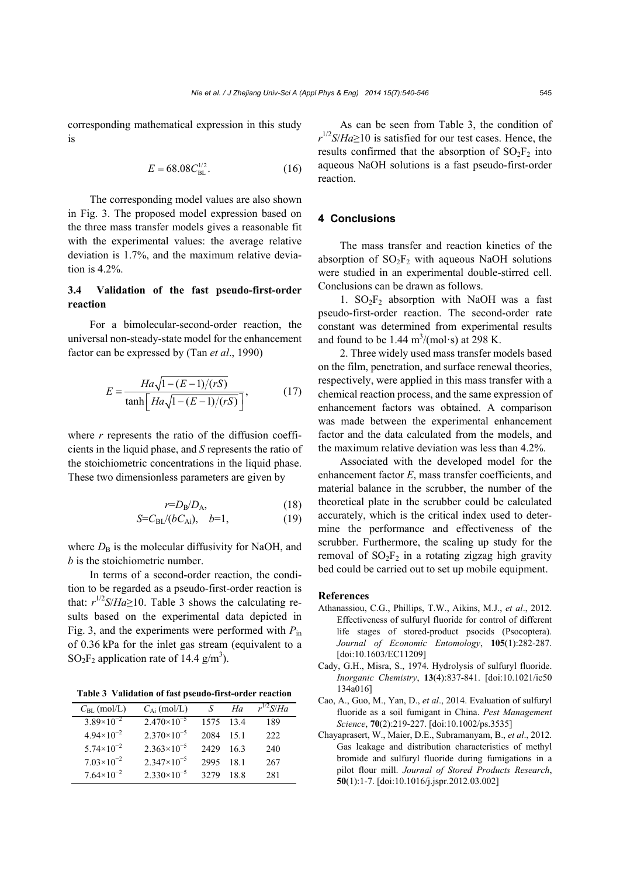corresponding mathematical expression in this study is

$$
E = 68.08 C_{\rm BL}^{1/2}.
$$
 (16)

The corresponding model values are also shown in Fig. 3. The proposed model expression based on the three mass transfer models gives a reasonable fit with the experimental values: the average relative deviation is 1.7%, and the maximum relative deviation is 4.2%.

## **3.4 Validation of the fast pseudo-first-order reaction**

For a bimolecular-second-order reaction, the universal non-steady-state model for the enhancement factor can be expressed by (Tan *et al*., 1990)

$$
E = \frac{Ha\sqrt{1 - (E - 1)/(rS)}}{\tanh\left[Ha\sqrt{1 - (E - 1)/(rS)}\right]},
$$
(17)

where *r* represents the ratio of the diffusion coefficients in the liquid phase, and *S* represents the ratio of the stoichiometric concentrations in the liquid phase. These two dimensionless parameters are given by

$$
r=D_{\rm B}/D_{\rm A},\tag{18}
$$

$$
S = C_{BL}/(bC_{Ai}), \quad b=1,
$$
 (19)

where  $D<sub>B</sub>$  is the molecular diffusivity for NaOH, and *b* is the stoichiometric number.

In terms of a second-order reaction, the condition to be regarded as a pseudo-first-order reaction is that:  $r^{1/2}S/Ha \ge 10$ . Table 3 shows the calculating results based on the experimental data depicted in Fig. 3, and the experiments were performed with *P*in of 0.36 kPa for the inlet gas stream (equivalent to a SO<sub>2</sub>F<sub>2</sub> application rate of 14.4  $g/m<sup>3</sup>$ ).

**Table 3 Validation of fast pseudo-first-order reaction**

| $C_{BL}$ (mol/L)      | $C_{\rm Ai}$ (mol/L) | S     | Ha  | $r^{1/2}S/Ha$ |
|-----------------------|----------------------|-------|-----|---------------|
| $3.89\times10^{-2}$   | $2.470\times10^{-5}$ | 1575  | 134 | 189           |
| $4.94 \times 10^{-2}$ | $2.370\times10^{-5}$ | 2084  | 151 | 222           |
| $5.74\times10^{-2}$   | $2.363\times10^{-5}$ | 2429  | 163 | 240           |
| $7.03\times10^{-2}$   | $2.347\times10^{-5}$ | 2995  | 181 | 267           |
| $7.64\times10^{-2}$   | $2.330\times10^{-5}$ | 32.79 | 188 | 281           |

As can be seen from Table 3, the condition of  $r^{1/2}$ *S*/*Ha* $\ge$ 10 is satisfied for our test cases. Hence, the results confirmed that the absorption of  $SO_2F_2$  into aqueous NaOH solutions is a fast pseudo-first-order reaction.

## **4 Conclusions**

The mass transfer and reaction kinetics of the absorption of  $SO_2F_2$  with aqueous NaOH solutions were studied in an experimental double-stirred cell. Conclusions can be drawn as follows.

1.  $SO_2F_2$  absorption with NaOH was a fast pseudo-first-order reaction. The second-order rate constant was determined from experimental results and found to be  $1.44 \text{ m}^3/(\text{mol} \cdot \text{s})$  at 298 K.

2. Three widely used mass transfer models based on the film, penetration, and surface renewal theories, respectively, were applied in this mass transfer with a chemical reaction process, and the same expression of enhancement factors was obtained. A comparison was made between the experimental enhancement factor and the data calculated from the models, and the maximum relative deviation was less than 4.2%.

Associated with the developed model for the enhancement factor *E*, mass transfer coefficients, and material balance in the scrubber, the number of the theoretical plate in the scrubber could be calculated accurately, which is the critical index used to determine the performance and effectiveness of the scrubber. Furthermore, the scaling up study for the removal of  $SO_2F_2$  in a rotating zigzag high gravity bed could be carried out to set up mobile equipment.

#### **References**

- Athanassiou, C.G., Phillips, T.W., Aikins, M.J., *et al*., 2012. Effectiveness of sulfuryl fluoride for control of different life stages of stored-product psocids (Psocoptera). *Journal of Economic Entomology*, **105**(1):282-287. [doi:10.1603/EC11209]
- Cady, G.H., Misra, S., 1974. Hydrolysis of sulfuryl fluoride. *Inorganic Chemistry*, **13**(4):837-841. [doi:10.1021/ic50 134a016]
- Cao, A., Guo, M., Yan, D., *et al*., 2014. Evaluation of sulfuryl fluoride as a soil fumigant in China. *Pest Management Science*, **70**(2):219-227. [doi:10.1002/ps.3535]
- Chayaprasert, W., Maier, D.E., Subramanyam, B., *et al*., 2012. Gas leakage and distribution characteristics of methyl bromide and sulfuryl fluoride during fumigations in a pilot flour mill. *Journal of Stored Products Research*, **50**(1):1-7. [doi:10.1016/j.jspr.2012.03.002]